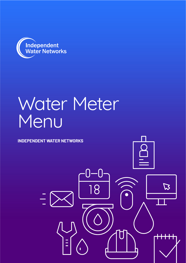

# Water Meter Menu

where  $\mathbf{A}$ 

 $\boldsymbol{\varSigma}$ 

**INDEPENDENT WATER NETWORKS**

 $\frac{1}{1}$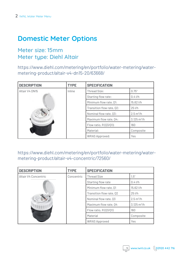## **Domestic Meter Options**

#### Meter size: 15mm Meter type: Diehl Altair

https://www.diehl.com/metering/en/portfolio/water-metering/watermetering-product/altair-v4-dn15-20/63668/

| <b>DESCRIPTION</b> | <b>TYPE</b> | <b>SPECIFICATION</b>      |                       |
|--------------------|-------------|---------------------------|-----------------------|
| Altair V4 DN15     | Inline      | <b>Thread Size:</b>       | 0.75"                 |
|                    |             | Starting flow rate:       | $0.4$ I/h             |
|                    |             | Minimum flow rate, Q1:    | 15.62 l/h             |
|                    |             | Transition flow rate, Q2: | $25$ $I/h$            |
|                    |             | Nominal flow rate, Q3:    | $2.5 \text{ m}^3/h$   |
|                    |             | Maximum flow rate, Q4:    | $3.125 \text{ m}^3/h$ |
|                    |             | Flow ratio, R (03/01):    | 160                   |
|                    |             | Material:                 | Composite             |
|                    |             | <b>WRAS Approved:</b>     | Yes                   |

#### https://www.diehl.com/metering/en/portfolio/water-metering/watermetering-product/altair-v4-concentric/72560/

| <b>DESCRIPTION</b>   | <b>TYPE</b> | <b>SPECIFICATION</b>     |                                 |
|----------------------|-------------|--------------------------|---------------------------------|
| Altair V4 Concentric | Concentric  | <b>Thread Size</b>       | 1.5"                            |
|                      |             | Starting flow rate       | $0.4$ $1/h$                     |
|                      |             | Minimum flow rate, Q1    | 15.62 l/h                       |
|                      |             | Transition flow rate, Q2 | $25$ $I/h$                      |
|                      |             | Nominal flow rate, Q3    | $2.5 \,\mathrm{m}^3/\mathrm{h}$ |
|                      |             | Maximum flow rate, Q4    | $3.125 \text{ m}^3/h$           |
|                      |             | Flow ratio, $R(03/01)$   | 160                             |
|                      |             | Material                 | Composite                       |
|                      |             | <b>WRAS Approved</b>     | Yes                             |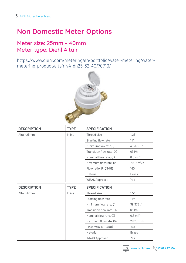## **Non Domestic Meter Options**

### Meter size: 25mm - 40mm Meter type: Diehl Altair

https://www.diehl.com/metering/en/portfolio/water-metering/watermetering-product/altair-v4-dn25-32-40/70710/



| <b>DESCRIPTION</b> | <b>TYPE</b> | <b>SPECIFICATION</b>     |                       |
|--------------------|-------------|--------------------------|-----------------------|
| Altair 25mm        | Inline      | Thread size              | 1.25''                |
|                    |             | Starting flow rate       | 11/h                  |
|                    |             | Minimum flow rate, Q1    | 39.375 l/h            |
|                    |             | Transition flow rate, Q2 | 63 l/h                |
|                    |             | Nominal flow rate, Q3    | $6.3 \text{ m}^3/h$   |
|                    |             | Maximum flow rate, Q4    | $7.875 \text{ m}^3/h$ |
|                    |             | Flow ratio, R(Q3/Q1)     | 160                   |
|                    |             | Material                 | <b>Brass</b>          |
|                    |             | <b>WRAS Approved</b>     | Yes                   |
|                    |             |                          |                       |
| <b>DESCRIPTION</b> | <b>TYPE</b> | <b>SPECIFICATION</b>     |                       |
| Altair 32mm        | Inline      | Thread size              | 1.5''                 |
|                    |             | Starting flow rate       | 11/h                  |
|                    |             | Minimum flow rate, Q1    | 39.375 l/h            |
|                    |             | Transition flow rate, Q2 | 63 l/h                |
|                    |             | Nominal flow rate, Q3    | $6.3 \text{ m}^3/h$   |
|                    |             | Maximum flow rate, Q4    | $7.875 \text{ m}^3/h$ |
|                    |             | Flow ratio, R(Q3/Q1)     | 160                   |
|                    |             | Material                 | <b>Brass</b>          |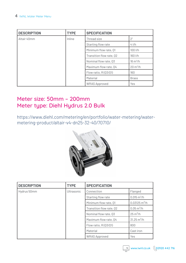| <b>DESCRIPTION</b> | <b>TYPE</b> | <b>SPECIFICATION</b>     |                    |
|--------------------|-------------|--------------------------|--------------------|
| Altair 40mm        | Inline      | Thread size              | 2 <sup>''</sup>    |
|                    |             | Starting flow rate       | $4$ I/h            |
|                    |             | Minimum flow rate, Q1    | $100$ I/h          |
|                    |             | Transition flow rate, Q2 | 160 l/h            |
|                    |             | Nominal flow rate, Q3    | $16 \text{ m}^3/h$ |
|                    |             | Maximum flow rate, Q4    | $20 \text{ m}^3/h$ |
|                    |             | Flow ratio, $R(03/01)$   | 160                |
|                    |             | Material                 | <b>Brass</b>       |
|                    |             | <b>WRAS Approved</b>     | Yes                |

## Meter size: 50mm – 200mm Meter type: Diehl Hydrus 2.0 Bulk

https://www.diehl.com/metering/en/portfolio/water-metering/watermetering-product/altair-v4-dn25-32-40/70710/



| <b>DESCRIPTION</b> | <b>TYPE</b>       | <b>SPECIFICATION</b>     |                                  |
|--------------------|-------------------|--------------------------|----------------------------------|
| Hydrus 50mm        | <b>Ultrasonic</b> | Connection               | Flanged                          |
|                    |                   | Starting flow rate       | $0.015 \text{ m}^3/h$            |
|                    |                   | Minimum flow rate, Q1    | $0.03125 \text{ m}^3/\text{h}$   |
|                    |                   | Transition flow rate, Q2 | $0.05 \,\mathrm{m}^3/\mathrm{h}$ |
|                    |                   | Nominal flow rate, Q3    | $25 \text{ m}^3/h$               |
|                    |                   | Maximum flow rate, Q4    | $31.25 \text{ m}^3/h$            |
|                    |                   | Flow ratio, $R(03/01)$   | 800                              |
|                    |                   | Material                 | Cast iron                        |
|                    |                   | <b>WRAS Approved</b>     | Yes                              |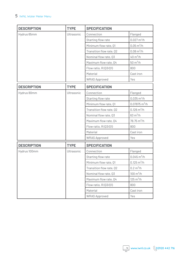| <b>DESCRIPTION</b> | <b>TYPE</b> | <b>SPECIFICATION</b>     |                              |
|--------------------|-------------|--------------------------|------------------------------|
| Hydrus 65mm        | Ultrasonic  | Connection               | Flanged                      |
|                    |             | Starting flow rate       | $0.027 \text{ m}^3/h$        |
|                    |             | Minimum flow rate, Q1    | $0.05 \text{ m}^3/h$         |
|                    |             | Transition flow rate, Q2 | $0.08 \text{ m}^3/h$         |
|                    |             | Nominal flow rate, Q3    | 40 $m^3/h$                   |
|                    |             | Maximum flow rate, Q4    | $50 \text{ m}^3/h$           |
|                    |             | Flow ratio, R(Q3/Q1)     | 800                          |
|                    |             | Material                 | Cast iron                    |
|                    |             | <b>WRAS Approved</b>     | Yes                          |
| <b>DESCRIPTION</b> | <b>TYPE</b> | <b>SPECIFICATION</b>     |                              |
| Hydrus 80mm        | Ultrasonic  | Connection               | Flanged                      |
|                    |             | Starting flow rate       | $0.035 \text{ m}^3/\text{h}$ |
|                    |             | Minimum flow rate, Q1    | $0.07875 \text{ m}^3/h$      |
|                    |             | Transition flow rate, Q2 | $0.126 \text{ m}^3/h$        |
|                    |             | Nominal flow rate, Q3    | $63 \text{ m}^3/h$           |
|                    |             | Maximum flow rate, Q4    | $78.75 \text{ m}^3/h$        |
|                    |             | Flow ratio, R(Q3/Q1)     | 800                          |
|                    |             | Material                 | Cast iron                    |
|                    |             | <b>WRAS Approved</b>     | Yes                          |
| <b>DESCRIPTION</b> | <b>TYPE</b> | <b>SPECIFICATION</b>     |                              |
| Hydrus 100mm       | Ultrasonic  | Connection               | Flanged                      |
|                    |             | Starting flow rate       | $0.045 \text{ m}^3/h$        |
|                    |             | Minimum flow rate, Q1    | $0.125 \text{ m}^3/h$        |
|                    |             | Transition flow rate, Q2 | 0.2 m <sup>3</sup> /h        |
|                    |             | Nominal flow rate, Q3    | $100 \text{ m}^3/h$          |
|                    |             | Maximum flow rate, Q4    | $125 \text{ m}^3/h$          |
|                    |             | Flow ratio, R(Q3/Q1)     | 800                          |
|                    |             | Material                 | Cast iron                    |
|                    |             | <b>WRAS Approved</b>     | Yes                          |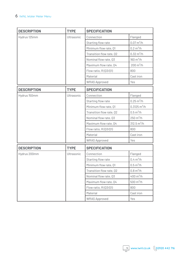| <b>DESCRIPTION</b> | <b>TYPE</b> | <b>SPECIFICATION</b>     |                                  |
|--------------------|-------------|--------------------------|----------------------------------|
| Hydrus 125mm       | Ultrasonic  | Connection               | Flanged                          |
|                    |             | Starting flow rate       | $0.07 \,\mathrm{m}^3/\mathrm{h}$ |
|                    |             | Minimum flow rate, Q1    | 0.2 m <sup>3</sup> /h            |
|                    |             | Transition flow rate, Q2 | $0.32 \text{ m}^3/h$             |
|                    |             | Nominal flow rate, Q3    | $160 \text{ m}^3/h$              |
|                    |             | Maximum flow rate, Q4    | $200 \,\mathrm{m}^3/\mathrm{h}$  |
|                    |             | Flow ratio, R(Q3/Q1)     | 800                              |
|                    |             | Material                 | Cast iron                        |
|                    |             | <b>WRAS Approved</b>     | Yes                              |
| <b>DESCRIPTION</b> | <b>TYPE</b> | <b>SPECIFICATION</b>     |                                  |
| Hydrus 150mm       | Ultrasonic  | Connection               | Flanged                          |
|                    |             | Starting flow rate       | $0.25 \text{ m}^3/h$             |
|                    |             | Minimum flow rate, Q1    | $0.3125 \text{ m}^3/\text{h}$    |
|                    |             | Transition flow rate, Q2 | $0.5 \,\mathrm{m}^3/\mathrm{h}$  |
|                    |             | Nominal flow rate, Q3    | $250 \,\mathrm{m}^3/\mathrm{h}$  |
|                    |             | Maximum flow rate, Q4    | $312.5 \text{ m}^3/h$            |
|                    |             | Flow ratio, R(Q3/Q1)     | 800                              |
|                    |             | Material                 | Cast iron                        |
|                    |             | <b>WRAS Approved</b>     | Yes                              |
| <b>DESCRIPTION</b> | <b>TYPE</b> | <b>SPECIFICATION</b>     |                                  |
| Hydrus 200mm       | Ultrasonic  | Connection               | Flanged                          |
|                    |             | Starting flow rate       | 0.4 m <sup>3</sup> /h            |
|                    |             | Minimum flow rate, Q1    | 0.5 m <sup>3</sup> /h            |
|                    |             | Transition flow rate, Q2 | 0.8 m <sup>3</sup> /h            |
|                    |             | Nominal flow rate, Q3    | $400 \text{ m}^3/h$              |
|                    |             | Maximum flow rate, Q4    | $500 \, \text{m}^3/\text{h}$     |
|                    |             | Flow ratio, R(Q3/Q1)     | 800                              |
|                    |             | Material                 | Cast iron                        |
|                    |             | <b>WRAS Approved</b>     | Yes                              |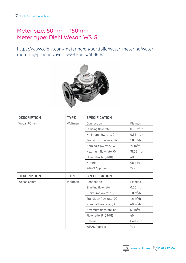## Meter size: 50mm – 150mm Meter type: Diehl Wesan WS G

https://www.diehl.com/metering/en/portfolio/water-metering/watermetering-product/hydrus-2-0-bulk/469615/



| <b>DESCRIPTION</b> | <b>TYPE</b> | <b>SPECIFICATION</b>     |                       |
|--------------------|-------------|--------------------------|-----------------------|
| Wesan 50mm         | Woltman     | Connection               | Flanged               |
|                    |             | Starting flow rate       | $0.06 \text{ m}^3/h$  |
|                    |             | Minimum flow rate, Q1    | $0.63 \text{ m}^3/h$  |
|                    |             | Transition flow rate, Q2 | 1.0 m <sup>3</sup> /h |
|                    |             | Nominal flow rate, Q3    | $25 \text{ m}^3/h$    |
|                    |             | Maximum flow rate, Q4    | $31.25 \text{ m}^3/h$ |
|                    |             | Flow ratio, R(Q3/Q1)     | 40                    |
|                    |             | Material                 | Cast iron             |
|                    |             | <b>WRAS Approved</b>     | Yes                   |
|                    |             |                          |                       |
| <b>DESCRIPTION</b> | <b>TYPE</b> | <b>SPECIFICATION</b>     |                       |
| Wesan 65mm         | Woltman     | Connection               | Flanged               |
|                    |             | Starting flow rate       | $0.06 \text{ m}^3/h$  |
|                    |             | Minimum flow rate, Q1    | 1.0 m <sup>3</sup> /h |
|                    |             | Transition flow rate, Q2 | $1.6 \text{ m}^3/h$   |
|                    |             | Nominal flow rate, Q3    | $40 \text{ m}^3/h$    |
|                    |             | Maximum flow rate, Q4    | $50 \text{ m}^3/h$    |
|                    |             | Flow ratio, R(Q3/Q1)     | 40                    |
|                    |             | Material                 | Cast iron             |

 $\frac{1}{\sqrt{2}}$  www.iwnl.co.uk  $\sqrt{02920442716}$